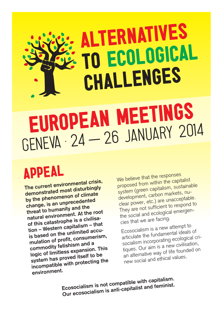# ALTERNATIVES TO ECOLOGICAL CHALLENGES EUROPEAN MEETINGS

# GENEVA · 24 — 26 JANUARY 2014

# APPEAL

**The current environmental crisis, demonstrated most disturbingly by the phenomenon of climate change, is an unprecedented threat to humanity and the natural environment. At the root of this catastrophe is a civilisation – Western capitalism – that is based on the unlimited accumulation of profit, consumerism, commodity fetishism and a logic of limitless expansion. This system has proved itself to be incompatible with protecting the environment.**

We believe that the responses proposed from within the capitalist system (green capitalism, sustainable development, carbon markets, nuclear power, etc.) are unacceptable. They are not sufficient to respond to the social and ecological emergencies that we are facing.

Ecosocialism is a new attempt to articulate the fundamental ideals of socialism incorporating ecological critiques. Our aim is a new civilisation, an alternative way of life founded on new social and ethical values.

**Ecosocialism is not compatible with capitalism. Our ecosocialism is anti-capitalist and feminist.**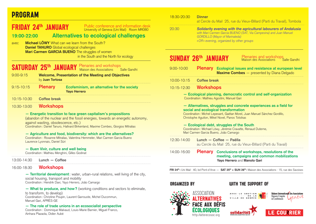# PROGRAM

**FRIDAY 24<sup>th</sup> JANIJARY** Public conference and information desk University of Geneva (Uni Mail) Room MR080

### **19:00-22:00 Alternatives to ecological challenges**

avec **Michael LÖWY** What can we learn from the South ? **Daniel TANURO** Global ecological challenges **Mari Carmen GARCIA BUENO** The struggles of women in the South and the North for ecology

# SATURDAY 25<sup>th</sup> JANUARY Plenaries and workshops Salle Gandhi

| $9:00 - 9:15$ | <b>Welcome, Presentation of the Meeting and Objectives</b> |
|---------------|------------------------------------------------------------|
|               | by <b>Juan Tortosa</b>                                     |
|               |                                                            |

9:15-10:15 **Plenary Ecofeminism, an alternative for the society Yayo Herrero**

10:15-10:30 **Coffee break**

### 10:30-13:00 **Workshops**

#### **— Energetic transition to face green capitalism's propositions**

 (abandon of the nuclear and the fossil energies, towards an energetic autonomy, against wasting, obsolescence, etc.)

Coordination : Daniel Tanuro, Hallvard Birkenland, Maxime Combes, Giorgios Mitralias

 **— Agriculture and food, biodiversity: which are the alternatives?**  Coordination : Roxanne Mitralias, Valentina Hemmeler, Mari Carmen Garcia Bueno Laurence Lyonnais, Daniel Süri

#### **— Buen Vivir, culture and well being**

Coordination : Mathieu Menghini, Gilles Godinat

13:00-14:30 **Lunch — Coffee**

### 16:00-18:30 **Workshops**

**— Territorial development** : water, urban-rural relations, well living of the city, social housing, transport and mobility Coordination : Hendrik Davi, Yayo Herrero, Joâo Camargo

**— What to produce, and how ?** (working conditions and sectors to eliminate, to transform, to develop) Coordination : Christine Poupin, Laurent Garrouste, Michel Ducommun, Manuel Gari, APRÈS-GE

**— The role of trade unions in an ecosocialist perspective** Coordination : Dominique Malvaud, Louis-Marie Barnier, Miguel Franco, Ainhara Plazaola, Didier Aubé

| 18:30-20:30         | <b>Dinner</b><br>at Cercle du Mail 25, rue du Vieux-Billard (Parti du Travail), Tombola                                                                                                                                    |  |                                                                                                                             |  |
|---------------------|----------------------------------------------------------------------------------------------------------------------------------------------------------------------------------------------------------------------------|--|-----------------------------------------------------------------------------------------------------------------------------|--|
| 20:30               | Solidarity evening with the agricultural labourers of Andalusia<br>with Mari Carmen Garcia BUENO (SAT, Via Campesina) and Juan Manuel<br><b>GORDILLO</b> (Mayor of Marinaleda)<br>«Off» evening, organized by other groups |  |                                                                                                                             |  |
| SUNDAY 26th JANUARY |                                                                                                                                                                                                                            |  | Plenaries and workshops<br>Maison des Associations Salle Gandhi                                                             |  |
| $9:00 - 10:00$      |                                                                                                                                                                                                                            |  | <b>Plenary</b> Ecological issues and resistance at european level<br><b>Maxime Combes</b> - presented by Diana Delgado      |  |
| 10:00-10:15         | <b>Coffee break</b>                                                                                                                                                                                                        |  |                                                                                                                             |  |
| 10:15-12:30         | <b>Workshops</b>                                                                                                                                                                                                           |  |                                                                                                                             |  |
|                     | Coordination: Mathieu Agostini, Manuel Gari                                                                                                                                                                                |  | - Ecological planning, democratic control and self-organization                                                             |  |
|                     |                                                                                                                                                                                                                            |  | - Alternatives, struggles and concrete experiences as a field for                                                           |  |
|                     | social and ecological transformation<br>Christophe Aguiton, Mikel Novel, Panos Totsikas                                                                                                                                    |  | Coordination: Michel Lepesant, Gaétan Morel, Juan Manuel Sánchez Gordillo,                                                  |  |
|                     | Mari Carmen Garcia Bueno, Joâo Camargo                                                                                                                                                                                     |  | - Ecological debt, struggles of the South<br>Coordination : Michael Löwy, Jérémie Cravatte, Renaud Duterne,                 |  |
| 12:30-14:00         | Lunch - Coffee - Paëlla                                                                                                                                                                                                    |  | au Cercle du Mail 25, rue du Vieux-Billard (Parti du Travail)                                                               |  |
| 14:00-16:00         | <b>Plenary</b>                                                                                                                                                                                                             |  | Conclusions of workshops, resolutions of the<br>meeting, campaigns and common mobilizations<br>Yayo Herrero and Manolo Gari |  |

**FRI 24th :** Uni Mail · 40, bd Pont-d'Arve — **SAT 25th + SUN 26th :** Maison des Associations · 15, rue des Savoises



 $\mathbf{A} \times \mathbf{B} \times \mathbf{C} \times \mathbf{A} \times \mathbf{A} \times \mathbf{A} \times \mathbf{A} \times \mathbf{A} \times \mathbf{A} \times \mathbf{A} \times \mathbf{A} \times \mathbf{A} \times \mathbf{A} \times \mathbf{A} \times \mathbf{A} \times \mathbf{A} \times \mathbf{A} \times \mathbf{A} \times \mathbf{A} \times \mathbf{A} \times \mathbf{A} \times \mathbf{A} \times \mathbf{A} \times \mathbf{A} \times \mathbf{A} \times \mathbf{A} \times \mathbf{A} \times \mathbf{$ 

VILLE · DE · GENÈVE

solidarité



# AVEC · LE · SOUTIEN